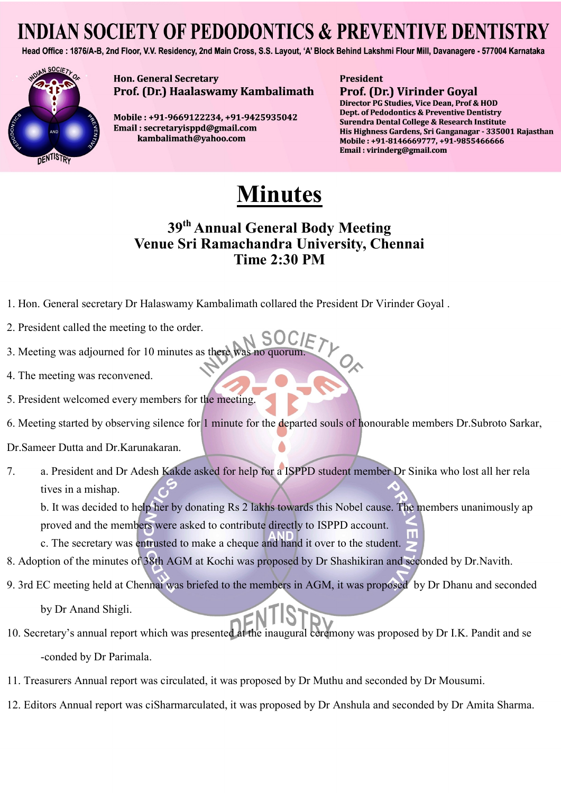Head Office: 1876/A-B, 2nd Floor, V.V. Residency, 2nd Main Cross, S.S. Layout, 'A' Block Behind Lakshmi Flour Mill, Davanagere - 577004 Karnataka



**Hon. General Secretary** Prof. (Dr.) Haalaswamy Kambalimath

Mobile: +91-9669122234, +91-9425935042 Email: secretaryisppd@gmail.com kambalimath@yahoo.com

**President Prof. (Dr.) Virinder Goyal** 

Director PG Studies, Vice Dean, Prof & HOD Dept. of Pedodontics & Preventive Dentistry Surendra Dental College & Research Institute His Highness Gardens, Sri Ganganagar - 335001 Rajasthan Mobile: +91-8146669777, +91-9855466666 Email: virinderg@gmail.com

# **Minutes**

### **39th Annual General Body Meeting Venue Sri Ramachandra University, Chennai Time 2:30 PM**

- 1. Hon. General secretary Dr Halaswamy Kambalimath collared the President Dr Virinder Goyal .
- 2. President called the meeting to the order.
- 3. Meeting was adjourned for 10 minutes as there was
- 4. The meeting was reconvened.
- 5. President welcomed every members for the meeting.
- 6. Meeting started by observing silence for 1 minute for the departed souls of honourable members Dr.Subroto Sarkar,
- Dr.Sameer Dutta and Dr.Karunakaran.
- 7. a. President and Dr Adesh Kakde asked for help for a ISPPD student member Dr Sinika who lost all her rela tives in a mishap.

b. It was decided to help her by donating Rs 2 lakhs towards this Nobel cause. The members unanimously ap proved and the members were asked to contribute directly to ISPPD account.

c. The secretary was entrusted to make a cheque and hand it over to the student.

- 8. Adoption of the minutes of 38th AGM at Kochi was proposed by Dr Shashikiran and seconded by Dr.Navith.
- 9. 3rd EC meeting held at Chennai was briefed to the members in AGM, it was proposed by Dr Dhanu and seconded

by Dr Anand Shigli.

- 10. Secretary's annual report which was presented at the inaugural ceremony was proposed by Dr I.K. Pandit and se -conded by Dr Parimala.
- 11. Treasurers Annual report was circulated, it was proposed by Dr Muthu and seconded by Dr Mousumi.
- 12. Editors Annual report was ciSharmarculated, it was proposed by Dr Anshula and seconded by Dr Amita Sharma.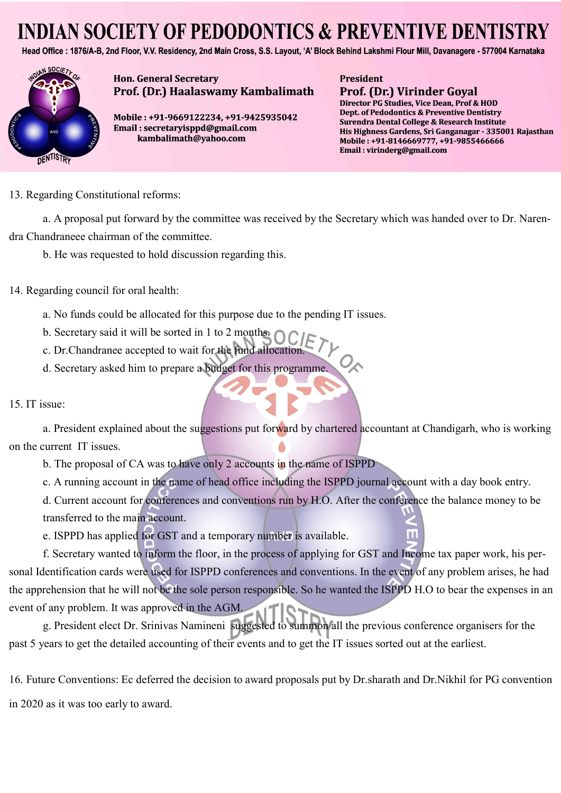Head Office: 1876/A-B, 2nd Floor, V.V. Residency, 2nd Main Cross, S.S. Layout, 'A' Block Behind Lakshmi Flour Mill, Davanagere - 577004 Karnataka



**Hon. General Secretary** Prof. (Dr.) Haalaswamy Kambalimath

Mobile: +91-9669122234, +91-9425935042 Email: secretaryisppd@gmail.com kambalimath@yahoo.com

#### **President Prof. (Dr.) Virinder Goyal**

Director PG Studies, Vice Dean, Prof & HOD Dept. of Pedodontics & Preventive Dentistry Surendra Dental College & Research Institute His Highness Gardens, Sri Ganganagar - 335001 Rajasthan Mobile: +91-8146669777, +91-9855466666 Email: virinderg@gmail.com

13. Regarding Constitutional reforms:

a. A proposal put forward by the committee was received by the Secretary which was handed over to Dr. Narendra Chandraneee chairman of the committee.

b. He was requested to hold discussion regarding this.

14. Regarding council for oral health:

a. No funds could be allocated for this purpose due to the pending IT issues.

b. Secretary said it will be sorted in 1 to 2 months.

c. Dr.Chandranee accepted to wait for the fund allocation.

d. Secretary asked him to prepare a budget for this programme.

15. IT issue:

a. President explained about the suggestions put forward by chartered accountant at Chandigarh, who is working on the current IT issues.

b. The proposal of CA was to have only 2 accounts in the name of ISPPD

c. A running account in the name of head office including the ISPPD journal account with a day book entry.

d. Current account for conferences and conventions run by H.O. After the conference the balance money to be transferred to the main account.

e. ISPPD has applied for GST and a temporary number is available.

f. Secretary wanted to inform the floor, in the process of applying for GST and Income tax paper work, his personal Identification cards were used for ISPPD conferences and conventions. In the event of any problem arises, he had the apprehension that he will not be the sole person responsible. So he wanted the ISPPD H.O to bear the expenses in an event of any problem. It was approved in the AGM.

g. President elect Dr. Srinivas Namineni suggested to summon all the previous conference organisers for the past 5 years to get the detailed accounting of their events and to get the IT issues sorted out at the earliest.

16. Future Conventions: Ec deferred the decision to award proposals put by Dr.sharath and Dr.Nikhil for PG convention in 2020 as it was too early to award.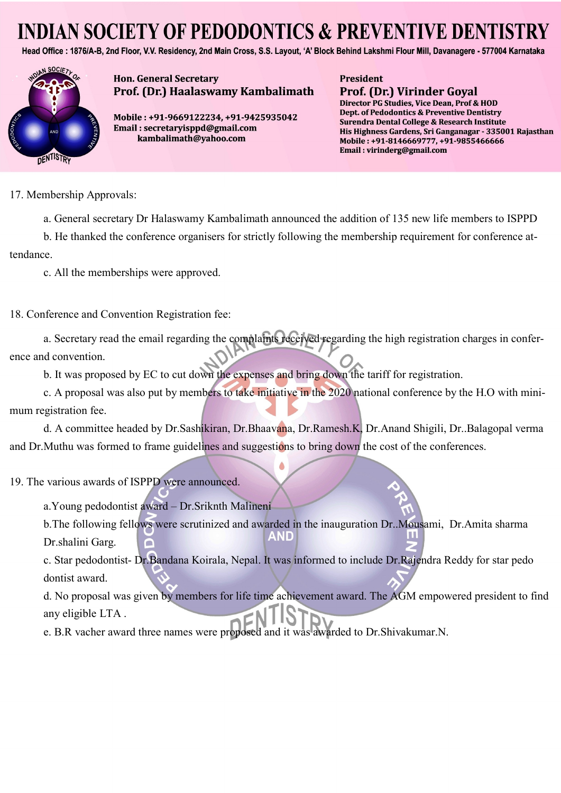Head Office: 1876/A-B, 2nd Floor, V.V. Residency, 2nd Main Cross, S.S. Layout, 'A' Block Behind Lakshmi Flour Mill, Davanagere - 577004 Karnataka



**Hon. General Secretary** Prof. (Dr.) Haalaswamy Kambalimath

Mobile: +91-9669122234, +91-9425935042 Email: secretaryisppd@gmail.com kambalimath@yahoo.com

**President Prof. (Dr.) Virinder Goyal** 

Director PG Studies, Vice Dean, Prof & HOD Dept. of Pedodontics & Preventive Dentistry Surendra Dental College & Research Institute His Highness Gardens, Sri Ganganagar - 335001 Rajasthan Mobile: +91-8146669777, +91-9855466666 Email: virinderg@gmail.com

17. Membership Approvals:

a. General secretary Dr Halaswamy Kambalimath announced the addition of 135 new life members to ISPPD

b. He thanked the conference organisers for strictly following the membership requirement for conference attendance.

c. All the memberships were approved.

18. Conference and Convention Registration fee:

a. Secretary read the email regarding the complaints received regarding the high registration charges in conference and convention.

b. It was proposed by EC to cut down the expenses and bring down the tariff for registration.

c. A proposal was also put by members to take initiative in the 2020 national conference by the H.O with minimum registration fee.

d. A committee headed by Dr.Sashikiran, Dr.Bhaavana, Dr.Ramesh.K, Dr.Anand Shigili, Dr..Balagopal verma and Dr. Muthu was formed to frame guidelines and suggestions to bring down the cost of the conferences.

19. The various awards of ISPPD were announced.

a.Young pedodontist award – Dr.Sriknth Malineni

b.The following fellows were scrutinized and awarded in the inauguration Dr..Mousami, Dr.Amita sharma AND Dr.shalini Garg.

c. Star pedodontist- Dr.Bandana Koirala, Nepal. It was informed to include Dr.Rajendra Reddy for star pedo dontist award.

d. No proposal was given by members for life time achievement award. The AGM empowered president to find any eligible LTA .

e. B.R vacher award three names were proposed and it was awarded to Dr.Shivakumar.N.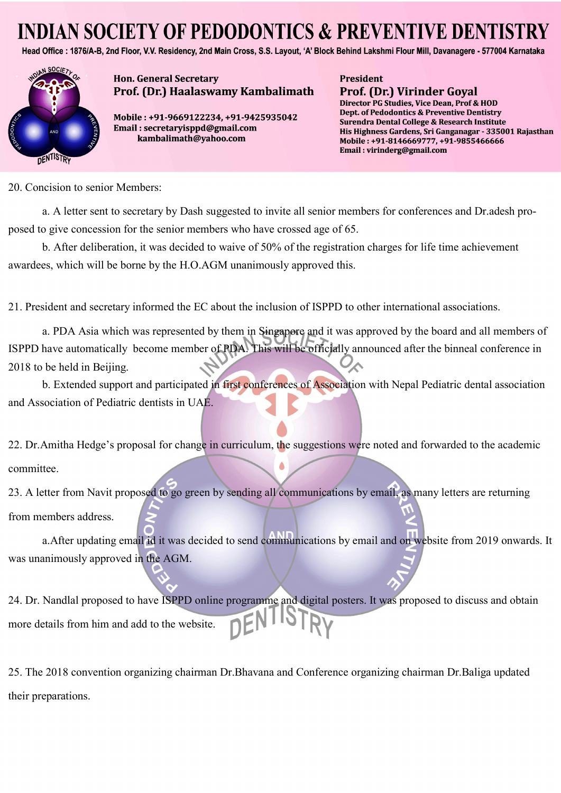Head Office: 1876/A-B, 2nd Floor, V.V. Residency, 2nd Main Cross, S.S. Layout, 'A' Block Behind Lakshmi Flour Mill, Davanagere - 577004 Karnataka



**Hon. General Secretary** Prof. (Dr.) Haalaswamy Kambalimath

Mobile: +91-9669122234, +91-9425935042 Email: secretaryisppd@gmail.com kambalimath@yahoo.com

**President Prof. (Dr.) Virinder Goyal** 

Director PG Studies, Vice Dean, Prof & HOD Dept. of Pedodontics & Preventive Dentistry Surendra Dental College & Research Institute His Highness Gardens, Sri Ganganagar - 335001 Rajasthan Mobile: +91-8146669777, +91-9855466666 Email: virinderg@gmail.com

20. Concision to senior Members:

a. A letter sent to secretary by Dash suggested to invite all senior members for conferences and Dr.adesh proposed to give concession for the senior members who have crossed age of 65.

b. After deliberation, it was decided to waive of 50% of the registration charges for life time achievement awardees, which will be borne by the H.O.AGM unanimously approved this.

21. President and secretary informed the EC about the inclusion of ISPPD to other international associations.

a. PDA Asia which was represented by them in Singapore and it was approved by the board and all members of ISPPD have automatically become member of PDA. This will be officially announced after the binneal conference in 2018 to be held in Beijing.

b. Extended support and participated in first conferences of Association with Nepal Pediatric dental association and Association of Pediatric dentists in UAE.

22. Dr.Amitha Hedge's proposal for change in curriculum, the suggestions were noted and forwarded to the academic committee.

23. A letter from Navit proposed to go green by sending all communications by email, as many letters are returning from members address.

a.After updating email id it was decided to send communications by email and on website from 2019 onwards. It was unanimously approved in the AGM.

24. Dr. Nandlal proposed to have ISPPD online programme and digital posters. It was proposed to discuss and obtain more details from him and add to the website.

25. The 2018 convention organizing chairman Dr.Bhavana and Conference organizing chairman Dr.Baliga updated their preparations.